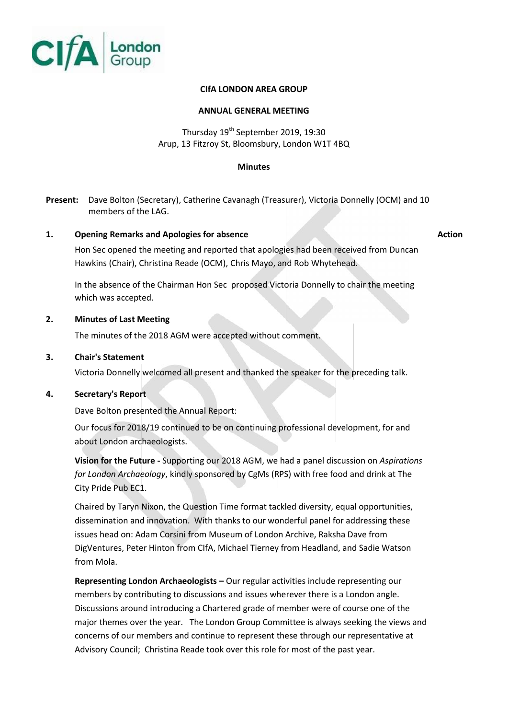

# **CIfA LONDON AREA GROUP**

# **ANNUAL GENERAL MEETING**

# Thursday 19<sup>th</sup> September 2019, 19:30 Arup, 13 Fitzroy St, Bloomsbury, London W1T 4BQ

#### **Minutes**

**Present:** Dave Bolton (Secretary), Catherine Cavanagh (Treasurer), Victoria Donnelly (OCM) and 10 members of the LAG.

# **1. Opening Remarks and Apologies for absence Action**

Hon Sec opened the meeting and reported that apologies had been received from Duncan Hawkins (Chair), Christina Reade (OCM), Chris Mayo, and Rob Whytehead.

In the absence of the Chairman Hon Sec proposed Victoria Donnelly to chair the meeting which was accepted.

### **2. Minutes of Last Meeting**

The minutes of the 2018 AGM were accepted without comment.

### **3. Chair's Statement**

Victoria Donnelly welcomed all present and thanked the speaker for the preceding talk.

# **4. Secretary's Report**

Dave Bolton presented the Annual Report:

Our focus for 2018/19 continued to be on continuing professional development, for and about London archaeologists.

**Vision for the Future -** Supporting our 2018 AGM, we had a panel discussion on *Aspirations for London Archaeology*, kindly sponsored by CgMs (RPS) with free food and drink at The City Pride Pub EC1.

Chaired by Taryn Nixon, the Question Time format tackled diversity, equal opportunities, dissemination and innovation. With thanks to our wonderful panel for addressing these issues head on: Adam Corsini from Museum of London Archive, Raksha Dave from DigVentures, Peter Hinton from CIfA, Michael Tierney from Headland, and Sadie Watson from Mola.

**Representing London Archaeologists –** Our regular activities include representing our members by contributing to discussions and issues wherever there is a London angle. Discussions around introducing a Chartered grade of member were of course one of the major themes over the year. The London Group Committee is always seeking the views and concerns of our members and continue to represent these through our representative at Advisory Council; Christina Reade took over this role for most of the past year.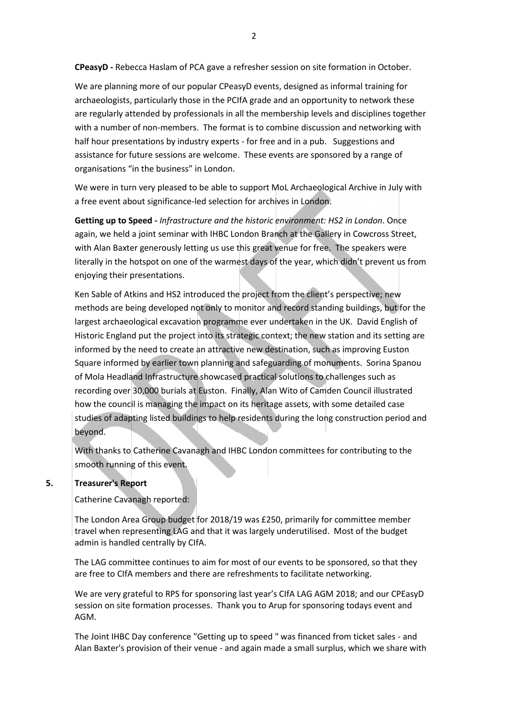**CPeasyD -** Rebecca Haslam of PCA gave a refresher session on site formation in October.

We are planning more of our popular CPeasyD events, designed as informal training for archaeologists, particularly those in the PCIfA grade and an opportunity to network these are regularly attended by professionals in all the membership levels and disciplines together with a number of non-members. The format is to combine discussion and networking with half hour presentations by industry experts - for free and in a pub. Suggestions and assistance for future sessions are welcome. These events are sponsored by a range of organisations "in the business" in London.

We were in turn very pleased to be able to support MoL Archaeological Archive in July with a free event about significance-led selection for archives in London.

**Getting up to Speed -** *Infrastructure and the historic environment: HS2 in London*. Once again, we held a joint seminar with IHBC London Branch at the Gallery in Cowcross Street, with Alan Baxter generously letting us use this great venue for free. The speakers were literally in the hotspot on one of the warmest days of the year, which didn't prevent us from enjoying their presentations.

Ken Sable of Atkins and HS2 introduced the project from the client's perspective; new methods are being developed not only to monitor and record standing buildings, but for the largest archaeological excavation programme ever undertaken in the UK. David English of Historic England put the project into its strategic context; the new station and its setting are informed by the need to create an attractive new destination, such as improving Euston Square informed by earlier town planning and safeguarding of monuments. Sorina Spanou of Mola Headland Infrastructure showcased practical solutions to challenges such as recording over 30,000 burials at Euston. Finally, Alan Wito of Camden Council illustrated how the council is managing the impact on its heritage assets, with some detailed case studies of adapting listed buildings to help residents during the long construction period and beyond.

With thanks to Catherine Cavanagh and IHBC London committees for contributing to the smooth running of this event.

#### **5. Treasurer's Report**

Catherine Cavanagh reported:

The London Area Group budget for 2018/19 was £250, primarily for committee member travel when representing LAG and that it was largely underutilised. Most of the budget admin is handled centrally by CIfA.

The LAG committee continues to aim for most of our events to be sponsored, so that they are free to CIfA members and there are refreshments to facilitate networking.

We are very grateful to RPS for sponsoring last year's CIfA LAG AGM 2018; and our CPEasyD session on site formation processes. Thank you to Arup for sponsoring todays event and AGM.

The Joint IHBC Day conference "Getting up to speed " was financed from ticket sales - and Alan Baxter's provision of their venue - and again made a small surplus, which we share with